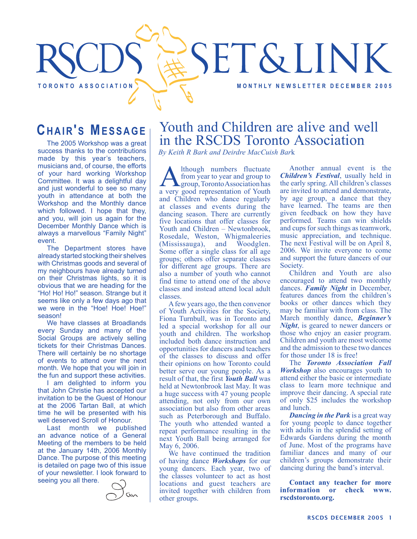# SET&LINK TORONTO ASSOCIATION **TO REALLY A TO REALLY A TO REALLY A TO REALLY A TO REALLY A REALLY ASSOCIATION**

### **CHAIR'S MESSAGE**

The 2005 Workshop was a great success thanks to the contributions made by this year's teachers, musicians and, of course, the efforts of your hard working Workshop Committee. It was a delightful day and just wonderful to see so many youth in attendance at both the Workshop and the Monthly dance which followed. I hope that they, and you, will join us again for the December Monthly Dance which is always a marvellous "Family Night" event.

The Department stores have already started stocking their shelves with Christmas goods and several of my neighbours have already turned on their Christmas lights, so it is obvious that we are heading for the "Ho! Ho! Ho!" season. Strange but it seems like only a few days ago that we were in the "Hoe! Hoe! Hoe!" season!

We have classes at Broadlands every Sunday and many of the Social Groups are actively selling tickets for their Christmas Dances. There will certainly be no shortage of events to attend over the next month. We hope that you will join in the fun and support these activities.

I am delighted to inform you that John Christie has accepted our invitation to be the Guest of Honour at the 2006 Tartan Ball, at which time he will be presented with his well deserved Scroll of Honour.

Last month we published an advance notice of a General Meeting of the members to be held at the January 14th, 2006 Monthly Dance. The purpose of this meeting is detailed on page two of this issue of your newsletter. I look forward to seeing you all there.

## Youth and Children are alive and well in the RSCDS Toronto Association

*By Keith R Bark and Deirdre MacCuish Bar*k

Although numbers fluctuate<br>from year to year and group to<br>group, Toronto Association has<br>a very good representation of Youth from year to year and group to a very good representation of Youth and Children who dance regularly at classes and events during the dancing season. There are currently five locations that offer classes for Youth and Children – Newtonbrook, Rosedale, Weston, Whigmaleeries (Mississauga), and Woodglen. Some offer a single class for all age groups; others offer separate classes for different age groups. There are also a number of youth who cannot find time to attend one of the above classes and instead attend local adult classes.

A few years ago, the then convenor of Youth Activities for the Society, Fiona Turnbull, was in Toronto and led a special workshop for all our youth and children. The workshop included both dance instruction and opportunities for dancers and teachers of the classes to discuss and offer their opinions on how Toronto could better serve our young people. As a result of that, the first *Youth Ball* was held at Newtonbrook last May. It was a huge success with 47 young people attending, not only from our own association but also from other areas such as Peterborough and Buffalo. The youth who attended wanted a repeat performance resulting in the next Youth Ball being arranged for May 6, 2006.

We have continued the tradition of having dance *Workshops* for our young dancers. Each year, two of the classes volunteer to act as host locations and guest teachers are invited together with children from other groups.

Another annual event is the *Children's Festival*, usually held in the early spring. All children's classes are invited to attend and demonstrate, by age group, a dance that they have learned. The teams are then given feedback on how they have performed. Teams can win shields and cups for such things as teamwork, music appreciation, and technique. The next Festival will be on April 8, 2006. We invite everyone to come and support the future dancers of our Society.

Children and Youth are also encouraged to attend two monthly dances. *Family Night* in December, features dances from the children's books or other dances which they may be familiar with from class. The March monthly dance, *Beginner's Night*, is geared to newer dancers or those who enjoy an easier program. Children and youth are most welcome and the admission to these two dances for those under 18 is free!

The *Toronto Association Fall Workshop* also encourages youth to attend either the basic or intermediate class to learn more technique and improve their dancing. A special rate of only \$25 includes the workshop and lunch.

*Dancing in the Park* is a great way for young people to dance together with adults in the splendid setting of Edwards Gardens during the month of June. Most of the programs have familiar dances and many of our children's groups demonstrate their dancing during the band's interval.

**Contact any teacher for more information or check www. rscdstoronto.org.**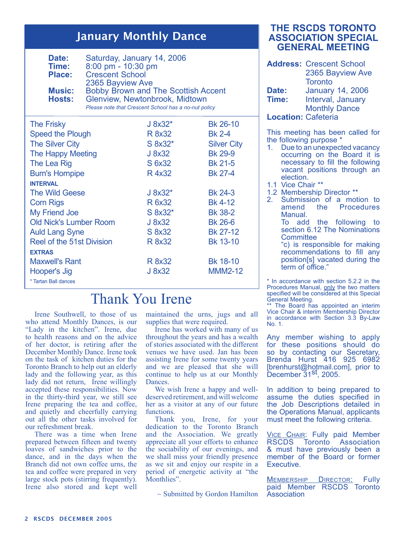#### January Monthly Dance

| Saturday, January 14, 2006<br>Date:<br>Time:<br>8:00 pm - 10:30 pm<br><b>Crescent School</b><br><b>Place:</b><br>2365 Bayview Ave<br><b>Bobby Brown and The Scottish Accent</b><br><b>Music:</b><br>Glenview, Newtonbrook, Midtown<br>Hosts:<br>Please note that Crescent School has a no-nut policy |              |                    |
|------------------------------------------------------------------------------------------------------------------------------------------------------------------------------------------------------------------------------------------------------------------------------------------------------|--------------|--------------------|
| <b>The Frisky</b>                                                                                                                                                                                                                                                                                    | $J 8x32*$    | Bk 26-10           |
| <b>Speed the Plough</b>                                                                                                                                                                                                                                                                              | R 8x32       | <b>Bk 2-4</b>      |
| <b>The Silver City</b>                                                                                                                                                                                                                                                                               | $S$ 8x32 $*$ | <b>Silver City</b> |
| <b>The Happy Meeting</b>                                                                                                                                                                                                                                                                             | J 8x32       | <b>Bk 29-9</b>     |
| The Lea Rig                                                                                                                                                                                                                                                                                          | S 6x32       | <b>Bk 21-5</b>     |
| <b>Burn's Hornpipe</b>                                                                                                                                                                                                                                                                               | R 4x32       | Bk 27-4            |
| <b>INTERVAL</b>                                                                                                                                                                                                                                                                                      |              |                    |
| The Wild Geese                                                                                                                                                                                                                                                                                       | $J 8x32*$    | <b>Bk 24-3</b>     |
| <b>Corn Rigs</b>                                                                                                                                                                                                                                                                                     | R 6x32       | <b>Bk 4-12</b>     |
| <b>My Friend Joe</b>                                                                                                                                                                                                                                                                                 | S 8x32*      | <b>Bk 38-2</b>     |
| <b>Old Nick's Lumber Room</b>                                                                                                                                                                                                                                                                        | J 8x32       | <b>Bk 26-6</b>     |
| <b>Auld Lang Syne</b>                                                                                                                                                                                                                                                                                | S 8x32       | Bk 27-12           |
| <b>Reel of the 51st Division</b>                                                                                                                                                                                                                                                                     | R 8x32       | <b>Bk 13-10</b>    |
| <b>EXTRAS</b>                                                                                                                                                                                                                                                                                        |              |                    |
| <b>Maxwell's Rant</b>                                                                                                                                                                                                                                                                                | R 8x32       | Bk 18-10           |
| Hooper's Jig                                                                                                                                                                                                                                                                                         | J 8x32       | <b>MMM2-12</b>     |
| * Tartan Ball dances                                                                                                                                                                                                                                                                                 |              |                    |

## Thank You Irene

Irene Southwell, to those of us who attend Monthly Dances, is our "Lady in the kitchen". Irene, due to health reasons and on the advice of her doctor, is retiring after the December Monthly Dance. Irene took on the task of kitchen duties for the Toronto Branch to help out an elderly lady and the following year, as this lady did not return, Irene willingly accepted these responsibilities. Now in the thirty-third year, we still see Irene preparing the tea and coffee, and quietly and cheerfully carrying out all the other tasks involved for our refreshment break.

There was a time when Irene prepared between fifteen and twenty loaves of sandwiches prior to the dance, and in the days when the Branch did not own coffee urns, the tea and coffee were prepared in very large stock pots (stirring frequently). Irene also stored and kept well

maintained the urns, jugs and all supplies that were required.

Irene has worked with many of us throughout the years and has a wealth of stories associated with the different venues we have used. Jan has been assisting Irene for some twenty years and we are pleased that she will continue to help us at our Monthly Dances.

We wish Irene a happy and welldeserved retirement, and will welcome her as a visitor at any of our future functions.

Thank you, Irene, for your dedication to the Toronto Branch and the Association. We greatly appreciate all your efforts to enhance the sociability of our evenings, and we shall miss your friendly presence as we sit and enjoy our respite in a period of energetic activity at "the Monthlies".

~ Submitted by Gordon Hamilton

#### **THE RSCDS TORONTO ASSOCIATION SPECIAL GENERAL MEETING**

**Address:** Crescent School 2365 Bayview Ave **Toronto Date:** January 14, 2006 **Time:** Interval, January Monthly Dance

**Location:** Cafeteria

This meeting has been called for the following purpose \*

- 1. Due to an unexpected vacancy occurring on the Board it is necessary to fill the following vacant positions through an election.
- 1.1 Vice Chair \*\*
- 1.2 Membership Director \*\*<br>2. Submission of a mot
- Submission of a motion to<br>amend the Procedures amend the Procedures Manual.
	- To add the following to section 6.12 The Nominations **Committee**
	- "c) is responsible for making recommendations to fill any position[s] vacated during the term of office."

In accordance with section 5.2.2 in the Procedures Manual, only the two matters specified will be considered at this Special General Meeting.

The Board has appointed an interim Vice Chair & interim Membership Director in accordance with Section 3.3 By-Law No. 1.

Any member wishing to apply for these positions should do so by contacting our Secretary, Brenda Hurst 416 925 6982 [brenhurst@hotmail.com], prior to December 31st, 2005.

In addition to being prepared to assume the duties specified in the Job Descriptions detailed in the Operations Manual, applicants must meet the following criteria.

**VICE CHAIR: Fully paid Member<br>RSCDS Toronto Association** Toronto Association & must have previously been a member of the Board or former Executive.

MEMBERSHIP DIRECTOR: Fully paid Member RSCDS Toronto Association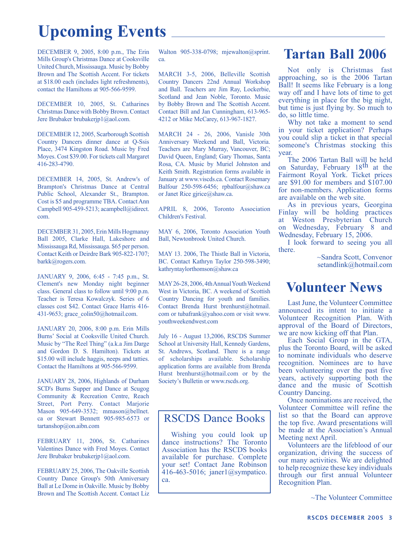# **Upcoming Events**

DECEMBER 9, 2005, 8:00 p.m., The Erin Mills Group's Christmas Dance at Cooksville United Church, Mississauga. Music by Bobby Brown and The Scottish Accent. For tickets at \$18.00 each (includes light refreshments), contact the Hamiltons at 905-566-9599.

DECEMBER 10, 2005, St. Catharines Christmas Dance with Bobby Brown. Contact Jere Brubaker brubakerjp1@aol.com.

DECEMBER 12, 2005, Scarborough Scottish Country Dancers dinner dance at Q-Ssis Place, 3474 Kingston Road. Music by Fred Moyes. Cost \$39.00. For tickets call Margaret 416-283-4790.

DECEMBER 14, 2005, St. Andrew's of Brampton's Christmas Dance at Central Public School, Alexander St., Brampton. Cost is \$5 and programme TBA. Contact Ann Campbell 905-459-5213; acampbell@idirect. com.

DECEMBER 31, 2005, Erin Mills Hogmanay Ball 2005, Clarke Hall, Lakeshore and Mississauga Rd, Mississauga. \$65 per person. Contact Keith or Deirdre Bark 905-822-1707; barkk@rogers.com.

JANUARY 9, 2006, 6:45 - 7:45 p.m., St. Clement's new Monday night beginner class. General class to follow until 9:00 p.m. Teacher is Teresa Kowalczyk. Series of 6 classes cost \$42. Contact Grace Harris 416- 431-9653; grace\_colin50@hotmail.com.

JANUARY 20, 2006, 8:00 p.m. Erin Mills Burns' Social at Cooksville United Church. Music by "The Reel Thing" (a.k.a Jim Darge and Gordon D. S. Hamilton). Tickets at \$15.00 will include haggis, neeps and tatties. Contact the Hamiltons at 905-566-9599.

JANUARY 28, 2006, Highlands of Durham SCD's Burns Supper and Dance at Scugog Community & Recreation Centre, Reach Street, Port Perry. Contact Marjorie Mason 905-649-3532; mmason@bellnet. ca or Stewart Bennett 905-985-6573 or tartanshop@on.aibn.com

FEBRUARY 11, 2006, St. Catharines Valentines Dance with Fred Moyes. Contact Jere Brubaker brubakerjp1@aol.com.

FEBRUARY 25, 2006, The Oakville Scottish Country Dance Group's 50th Anniversary Ball at Le Dome in Oakville. Music by Bobby Brown and The Scottish Accent. Contact Liz

Walton 905-338-0798; mjewalton@sprint. ca.

MARCH 3-5, 2006, Belleville Scottish Country Dancers 22nd Annual Workshop and Ball. Teachers are Jim Ray, Lockerbie, Scotland and Jean Noble, Toronto. Music by Bobby Brown and The Scottish Accent. Contact Bill and Jan Cunningham, 613-965- 4212 or Mike McCarey, 613-967-1827.

MARCH 24 - 26, 2006, Vanisle 30th Anniversary Weekend and Ball, Victoria. Teachers are Mary Murray, Vancouver, BC; David Queen, England; Gary Thomas, Santa Rosa, CA. Music by Muriel Johnston and Keith Smith. Registration forms available in January at www.viscds.ca. Contact Rosemary Balfour 250-598-6456; rpbalfour@shaw.ca or Janet Rice gjrice@shaw.ca.

APRIL 8, 2006, Toronto Association Children's Festival.

MAY 6, 2006, Toronto Association Youth Ball, Newtonbrook United Church.

MAY 13. 2006, The Thistle Ball in Victoria, BC. Contact Kathryn Taylor 250-598-3490; kathryntaylorthomson@shaw.ca

MAY 26-28, 2006, 4th Annual Youth Weekend West in Victoria, BC. A weekend of Scottish Country Dancing for youth and families. Contact Brenda Hurst brenhurst@hotmail. com or tubafrank@yahoo.com or visit www. youthweekendwest.com

July 16 - August 13,2006, RSCDS Summer School at University Hall, Kennedy Gardens, St. Andrews, Scotland. There is a range of scholarships available. Scholarship application forms are available from Brenda Hurst brenhurst@hotmail.com or by the Society's Bulletin or www.rscds.org.

#### RSCDS Dance Books

Wishing you could look up dance instructions? The Toronto Association has the RSCDS books available for purchase. Complete your set! Contact Jane Robinson 416-463-5016; janer1@sympatico. ca.

## **Tartan Ball 2006**

Not only is Christmas fast approaching, so is the 2006 Tartan Ball! It seems like February is a long way off and I have lots of time to get everything in place for the big night, but time is just flying by. So much to do, so little time.

Why not take a moment to send in your ticket application? Perhaps you could slip a ticket in that special someone's Christmas stocking this year.

The 2006 Tartan Ball will be held on Saturday, February 18th at the Fairmont Royal York. Ticket prices are \$91.00 for members and \$107.00 for non-members. Application forms are available on the web site.

As in previous years, Georgina Finlay will be holding practices at Weston Presbyterian Church on Wednesday, February 8 and Wednesday, February 15, 2006.

I look forward to seeing you all there.

~Sandra Scott, Convenor setandlink@hotmail.com

### **Volunteer News**

Last June, the Volunteer Committee announced its intent to initiate a Volunteer Recognition Plan. With approval of the Board of Directors, we are now kicking off that Plan.

Each Social Group in the GTA, plus the Toronto Board, will be asked to nominate individuals who deserve recognition. Nominees are to have been volunteering over the past five years, actively supporting both the dance and the music of Scottish Country Dancing.

Once nominations are received, the Volunteer Committee will refine the list so that the Board can approve the top five. Award presentations will be made at the Association's Annual Meeting next April.

Volunteers are the lifeblood of our organization, driving the success of our many activities. We are delighted to help recognize these key individuals through our first annual Volunteer Recognition Plan.

~The Volunteer Committee